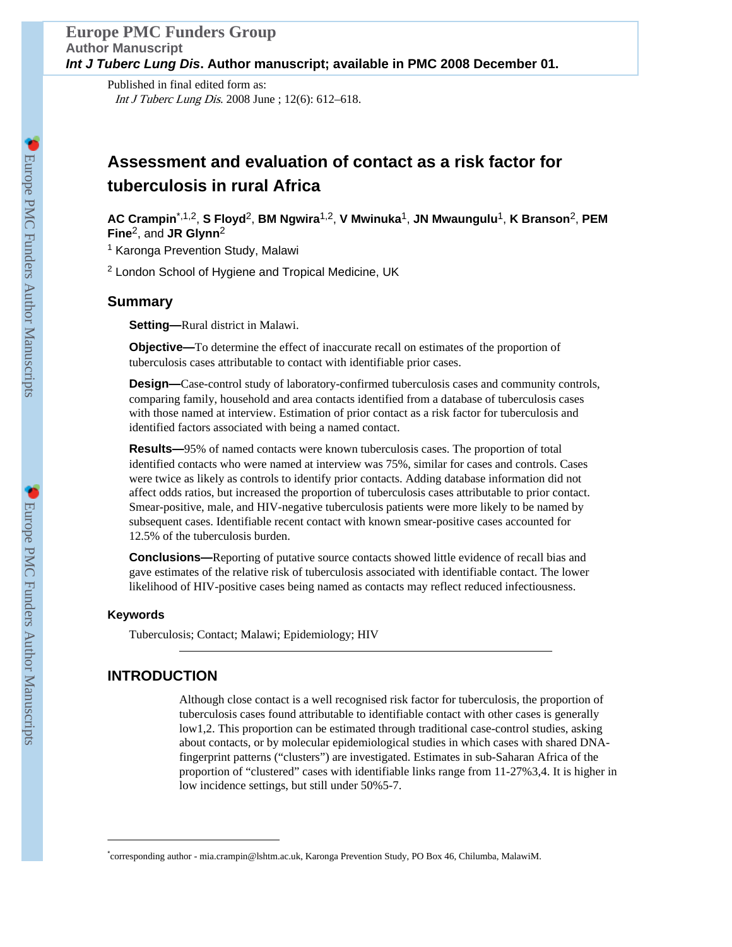Published in final edited form as: Int J Tuberc Lung Dis. 2008 June ; 12(6): 612–618.

### **Assessment and evaluation of contact as a risk factor for tuberculosis in rural Africa**

**AC Crampin**\*,1,2, **S Floyd**2, **BM Ngwira**1,2, **V Mwinuka**1, **JN Mwaungulu**1, **K Branson**2, **PEM Fine**2, and **JR Glynn**<sup>2</sup>

<sup>1</sup> Karonga Prevention Study, Malawi

<sup>2</sup> London School of Hygiene and Tropical Medicine, UK

#### **Summary**

**Setting—**Rural district in Malawi.

**Objective—**To determine the effect of inaccurate recall on estimates of the proportion of tuberculosis cases attributable to contact with identifiable prior cases.

**Design—**Case-control study of laboratory-confirmed tuberculosis cases and community controls, comparing family, household and area contacts identified from a database of tuberculosis cases with those named at interview. Estimation of prior contact as a risk factor for tuberculosis and identified factors associated with being a named contact.

**Results—**95% of named contacts were known tuberculosis cases. The proportion of total identified contacts who were named at interview was 75%, similar for cases and controls. Cases were twice as likely as controls to identify prior contacts. Adding database information did not affect odds ratios, but increased the proportion of tuberculosis cases attributable to prior contact. Smear-positive, male, and HIV-negative tuberculosis patients were more likely to be named by subsequent cases. Identifiable recent contact with known smear-positive cases accounted for 12.5% of the tuberculosis burden.

**Conclusions—**Reporting of putative source contacts showed little evidence of recall bias and gave estimates of the relative risk of tuberculosis associated with identifiable contact. The lower likelihood of HIV-positive cases being named as contacts may reflect reduced infectiousness.

#### **Keywords**

Tuberculosis; Contact; Malawi; Epidemiology; HIV

#### **INTRODUCTION**

Although close contact is a well recognised risk factor for tuberculosis, the proportion of tuberculosis cases found attributable to identifiable contact with other cases is generally low1,2. This proportion can be estimated through traditional case-control studies, asking about contacts, or by molecular epidemiological studies in which cases with shared DNAfingerprint patterns ("clusters") are investigated. Estimates in sub-Saharan Africa of the proportion of "clustered" cases with identifiable links range from 11-27%3,4. It is higher in low incidence settings, but still under 50%5-7.

<sup>\*</sup> corresponding author - mia.crampin@lshtm.ac.uk, Karonga Prevention Study, PO Box 46, Chilumba, MalawiM.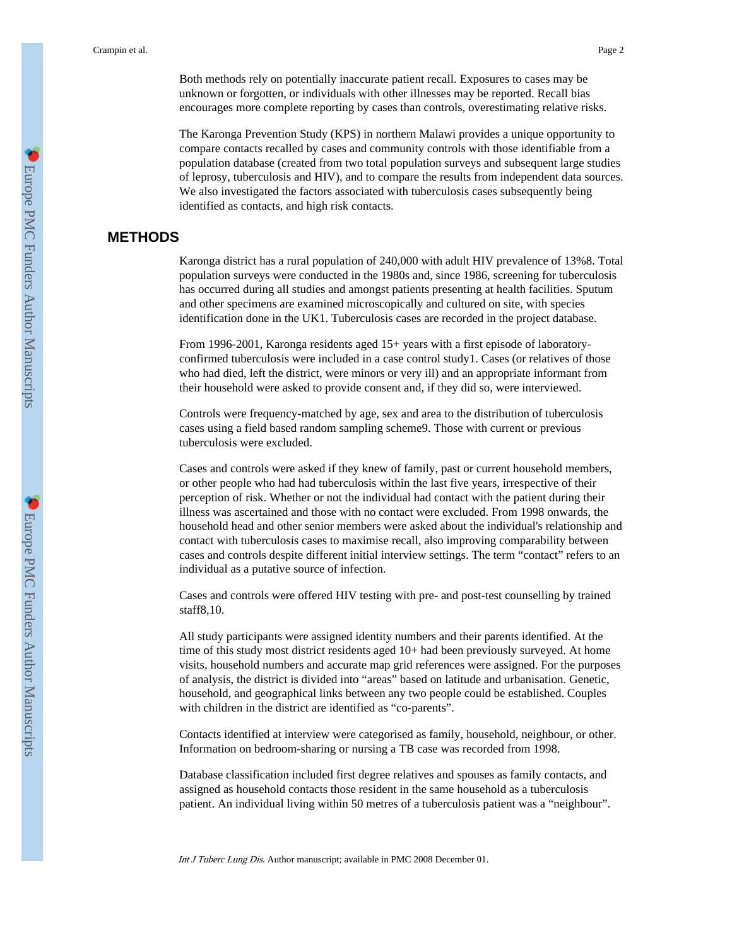Both methods rely on potentially inaccurate patient recall. Exposures to cases may be unknown or forgotten, or individuals with other illnesses may be reported. Recall bias encourages more complete reporting by cases than controls, overestimating relative risks.

The Karonga Prevention Study (KPS) in northern Malawi provides a unique opportunity to compare contacts recalled by cases and community controls with those identifiable from a population database (created from two total population surveys and subsequent large studies of leprosy, tuberculosis and HIV), and to compare the results from independent data sources. We also investigated the factors associated with tuberculosis cases subsequently being identified as contacts, and high risk contacts.

#### **METHODS**

Karonga district has a rural population of 240,000 with adult HIV prevalence of 13%8. Total population surveys were conducted in the 1980s and, since 1986, screening for tuberculosis has occurred during all studies and amongst patients presenting at health facilities. Sputum and other specimens are examined microscopically and cultured on site, with species identification done in the UK1. Tuberculosis cases are recorded in the project database.

From 1996-2001, Karonga residents aged 15+ years with a first episode of laboratoryconfirmed tuberculosis were included in a case control study1. Cases (or relatives of those who had died, left the district, were minors or very ill) and an appropriate informant from their household were asked to provide consent and, if they did so, were interviewed.

Controls were frequency-matched by age, sex and area to the distribution of tuberculosis cases using a field based random sampling scheme9. Those with current or previous tuberculosis were excluded.

Cases and controls were asked if they knew of family, past or current household members, or other people who had had tuberculosis within the last five years, irrespective of their perception of risk. Whether or not the individual had contact with the patient during their illness was ascertained and those with no contact were excluded. From 1998 onwards, the household head and other senior members were asked about the individual's relationship and contact with tuberculosis cases to maximise recall, also improving comparability between cases and controls despite different initial interview settings. The term "contact" refers to an individual as a putative source of infection.

Cases and controls were offered HIV testing with pre- and post-test counselling by trained staff8,10.

All study participants were assigned identity numbers and their parents identified. At the time of this study most district residents aged 10+ had been previously surveyed. At home visits, household numbers and accurate map grid references were assigned. For the purposes of analysis, the district is divided into "areas" based on latitude and urbanisation. Genetic, household, and geographical links between any two people could be established. Couples with children in the district are identified as "co-parents".

Contacts identified at interview were categorised as family, household, neighbour, or other. Information on bedroom-sharing or nursing a TB case was recorded from 1998.

Database classification included first degree relatives and spouses as family contacts, and assigned as household contacts those resident in the same household as a tuberculosis patient. An individual living within 50 metres of a tuberculosis patient was a "neighbour".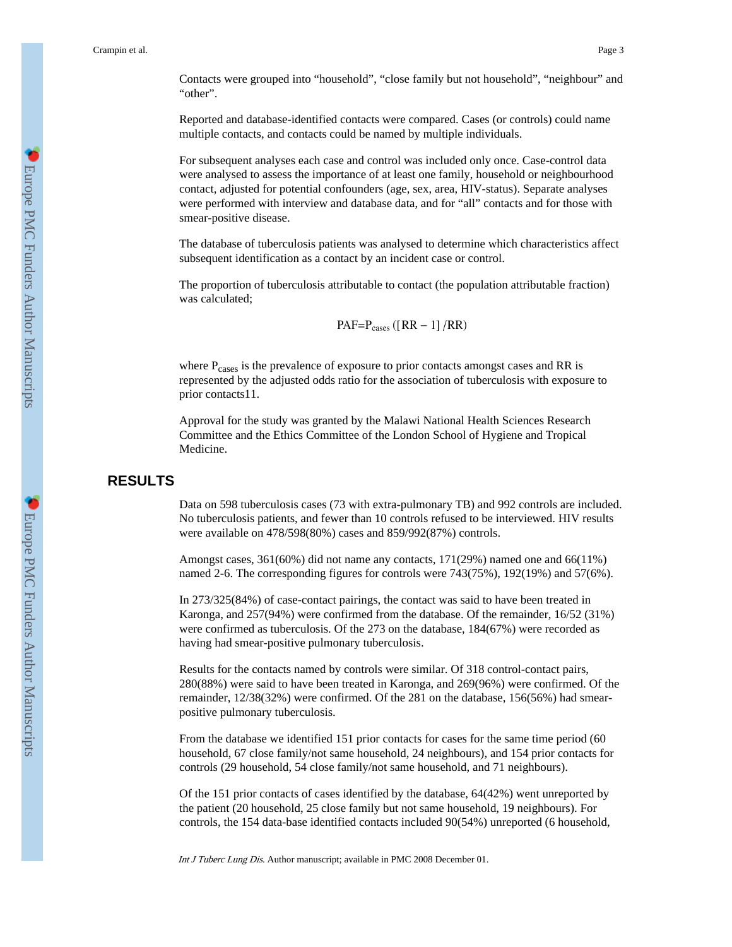Contacts were grouped into "household", "close family but not household", "neighbour" and "other".

Reported and database-identified contacts were compared. Cases (or controls) could name multiple contacts, and contacts could be named by multiple individuals.

For subsequent analyses each case and control was included only once. Case-control data were analysed to assess the importance of at least one family, household or neighbourhood contact, adjusted for potential confounders (age, sex, area, HIV-status). Separate analyses were performed with interview and database data, and for "all" contacts and for those with smear-positive disease.

The database of tuberculosis patients was analysed to determine which characteristics affect subsequent identification as a contact by an incident case or control.

The proportion of tuberculosis attributable to contact (the population attributable fraction) was calculated;

$$
PAF = P_{\text{cases}} ([RR - 1]/RR)
$$

where P<sub>cases</sub> is the prevalence of exposure to prior contacts amongst cases and RR is represented by the adjusted odds ratio for the association of tuberculosis with exposure to prior contacts11.

Approval for the study was granted by the Malawi National Health Sciences Research Committee and the Ethics Committee of the London School of Hygiene and Tropical Medicine.

#### **RESULTS**

Data on 598 tuberculosis cases (73 with extra-pulmonary TB) and 992 controls are included. No tuberculosis patients, and fewer than 10 controls refused to be interviewed. HIV results were available on 478/598(80%) cases and 859/992(87%) controls.

Amongst cases, 361(60%) did not name any contacts, 171(29%) named one and 66(11%) named 2-6. The corresponding figures for controls were 743(75%), 192(19%) and 57(6%).

In 273/325(84%) of case-contact pairings, the contact was said to have been treated in Karonga, and 257(94%) were confirmed from the database. Of the remainder, 16/52 (31%) were confirmed as tuberculosis. Of the 273 on the database, 184(67%) were recorded as having had smear-positive pulmonary tuberculosis.

Results for the contacts named by controls were similar. Of 318 control-contact pairs, 280(88%) were said to have been treated in Karonga, and 269(96%) were confirmed. Of the remainder, 12/38(32%) were confirmed. Of the 281 on the database, 156(56%) had smearpositive pulmonary tuberculosis.

From the database we identified 151 prior contacts for cases for the same time period (60 household, 67 close family/not same household, 24 neighbours), and 154 prior contacts for controls (29 household, 54 close family/not same household, and 71 neighbours).

Of the 151 prior contacts of cases identified by the database, 64(42%) went unreported by the patient (20 household, 25 close family but not same household, 19 neighbours). For controls, the 154 data-base identified contacts included 90(54%) unreported (6 household,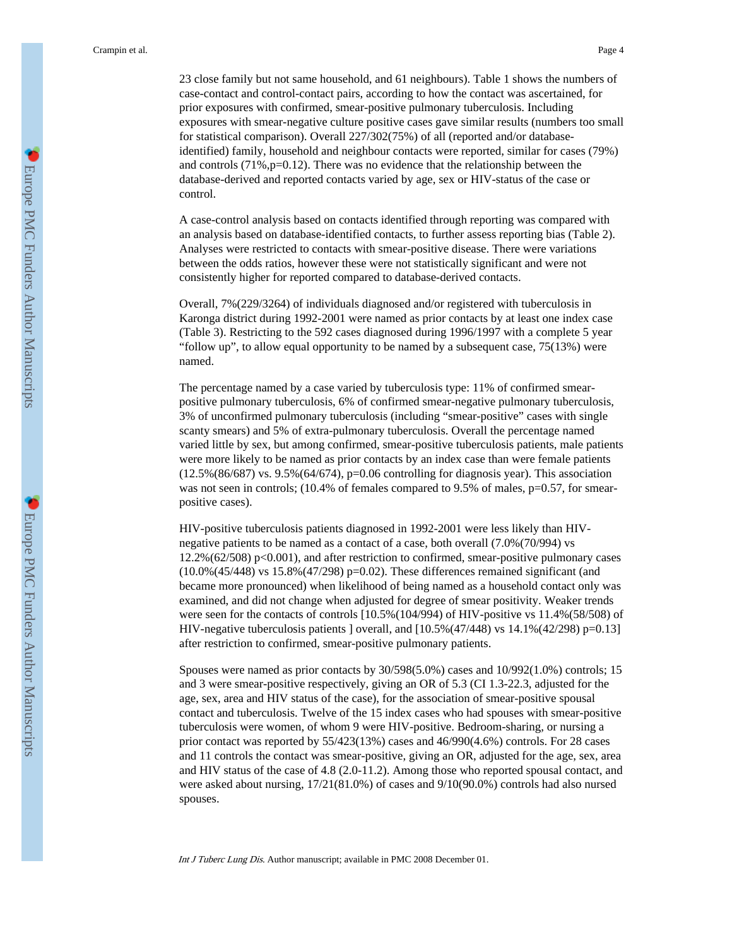23 close family but not same household, and 61 neighbours). Table 1 shows the numbers of case-contact and control-contact pairs, according to how the contact was ascertained, for prior exposures with confirmed, smear-positive pulmonary tuberculosis. Including exposures with smear-negative culture positive cases gave similar results (numbers too small for statistical comparison). Overall 227/302(75%) of all (reported and/or databaseidentified) family, household and neighbour contacts were reported, similar for cases (79%) and controls (71%,p=0.12). There was no evidence that the relationship between the database-derived and reported contacts varied by age, sex or HIV-status of the case or control.

A case-control analysis based on contacts identified through reporting was compared with an analysis based on database-identified contacts, to further assess reporting bias (Table 2). Analyses were restricted to contacts with smear-positive disease. There were variations between the odds ratios, however these were not statistically significant and were not consistently higher for reported compared to database-derived contacts.

Overall, 7%(229/3264) of individuals diagnosed and/or registered with tuberculosis in Karonga district during 1992-2001 were named as prior contacts by at least one index case (Table 3). Restricting to the 592 cases diagnosed during 1996/1997 with a complete 5 year "follow up", to allow equal opportunity to be named by a subsequent case,  $75(13%)$  were named.

The percentage named by a case varied by tuberculosis type: 11% of confirmed smearpositive pulmonary tuberculosis, 6% of confirmed smear-negative pulmonary tuberculosis, 3% of unconfirmed pulmonary tuberculosis (including "smear-positive" cases with single scanty smears) and 5% of extra-pulmonary tuberculosis. Overall the percentage named varied little by sex, but among confirmed, smear-positive tuberculosis patients, male patients were more likely to be named as prior contacts by an index case than were female patients (12.5%(86/687) vs. 9.5%(64/674), p=0.06 controlling for diagnosis year). This association was not seen in controls; (10.4% of females compared to 9.5% of males, p=0.57, for smearpositive cases).

HIV-positive tuberculosis patients diagnosed in 1992-2001 were less likely than HIVnegative patients to be named as a contact of a case, both overall (7.0%(70/994) vs 12.2%(62/508) p<0.001), and after restriction to confirmed, smear-positive pulmonary cases (10.0%(45/448) vs 15.8%(47/298) p=0.02). These differences remained significant (and became more pronounced) when likelihood of being named as a household contact only was examined, and did not change when adjusted for degree of smear positivity. Weaker trends were seen for the contacts of controls [10.5%(104/994) of HIV-positive vs 11.4%(58/508) of HIV-negative tuberculosis patients ] overall, and  $[10.5\%(47/448)$  vs  $14.1\%(42/298)$  p=0.13] after restriction to confirmed, smear-positive pulmonary patients.

Spouses were named as prior contacts by 30/598(5.0%) cases and 10/992(1.0%) controls; 15 and 3 were smear-positive respectively, giving an OR of 5.3 (CI 1.3-22.3, adjusted for the age, sex, area and HIV status of the case), for the association of smear-positive spousal contact and tuberculosis. Twelve of the 15 index cases who had spouses with smear-positive tuberculosis were women, of whom 9 were HIV-positive. Bedroom-sharing, or nursing a prior contact was reported by 55/423(13%) cases and 46/990(4.6%) controls. For 28 cases and 11 controls the contact was smear-positive, giving an OR, adjusted for the age, sex, area and HIV status of the case of 4.8 (2.0-11.2). Among those who reported spousal contact, and were asked about nursing, 17/21(81.0%) of cases and 9/10(90.0%) controls had also nursed spouses.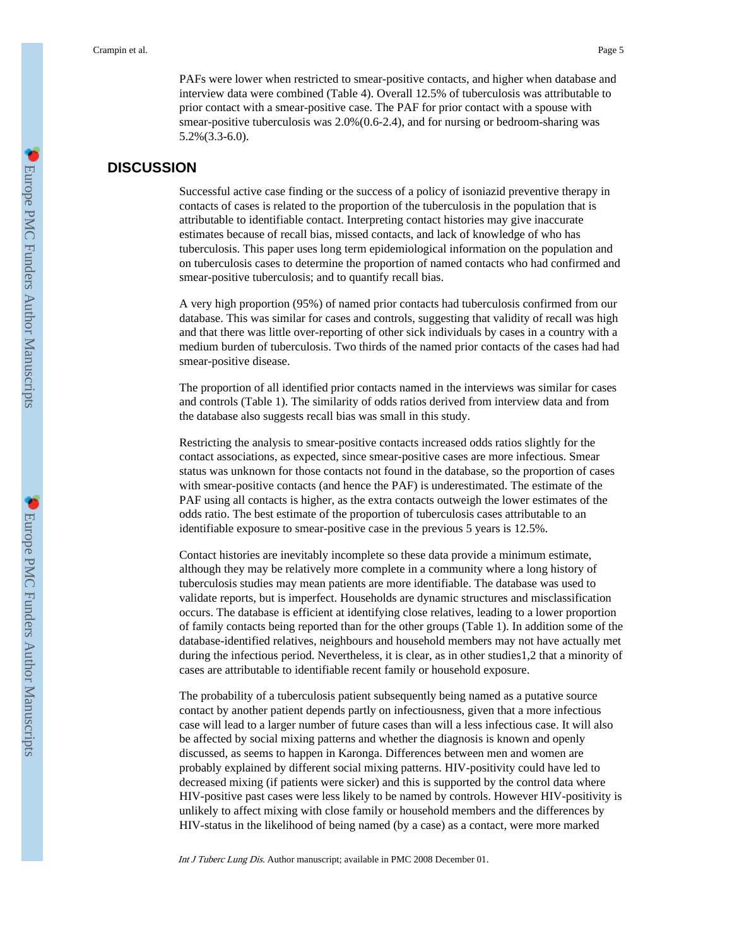PAFs were lower when restricted to smear-positive contacts, and higher when database and interview data were combined (Table 4). Overall 12.5% of tuberculosis was attributable to prior contact with a smear-positive case. The PAF for prior contact with a spouse with smear-positive tuberculosis was 2.0%(0.6-2.4), and for nursing or bedroom-sharing was 5.2%(3.3-6.0).

#### **DISCUSSION**

Successful active case finding or the success of a policy of isoniazid preventive therapy in contacts of cases is related to the proportion of the tuberculosis in the population that is attributable to identifiable contact. Interpreting contact histories may give inaccurate estimates because of recall bias, missed contacts, and lack of knowledge of who has tuberculosis. This paper uses long term epidemiological information on the population and on tuberculosis cases to determine the proportion of named contacts who had confirmed and smear-positive tuberculosis; and to quantify recall bias.

A very high proportion (95%) of named prior contacts had tuberculosis confirmed from our database. This was similar for cases and controls, suggesting that validity of recall was high and that there was little over-reporting of other sick individuals by cases in a country with a medium burden of tuberculosis. Two thirds of the named prior contacts of the cases had had smear-positive disease.

The proportion of all identified prior contacts named in the interviews was similar for cases and controls (Table 1). The similarity of odds ratios derived from interview data and from the database also suggests recall bias was small in this study.

Restricting the analysis to smear-positive contacts increased odds ratios slightly for the contact associations, as expected, since smear-positive cases are more infectious. Smear status was unknown for those contacts not found in the database, so the proportion of cases with smear-positive contacts (and hence the PAF) is underestimated. The estimate of the PAF using all contacts is higher, as the extra contacts outweigh the lower estimates of the odds ratio. The best estimate of the proportion of tuberculosis cases attributable to an identifiable exposure to smear-positive case in the previous 5 years is 12.5%.

Contact histories are inevitably incomplete so these data provide a minimum estimate, although they may be relatively more complete in a community where a long history of tuberculosis studies may mean patients are more identifiable. The database was used to validate reports, but is imperfect. Households are dynamic structures and misclassification occurs. The database is efficient at identifying close relatives, leading to a lower proportion of family contacts being reported than for the other groups (Table 1). In addition some of the database-identified relatives, neighbours and household members may not have actually met during the infectious period. Nevertheless, it is clear, as in other studies1,2 that a minority of cases are attributable to identifiable recent family or household exposure.

The probability of a tuberculosis patient subsequently being named as a putative source contact by another patient depends partly on infectiousness, given that a more infectious case will lead to a larger number of future cases than will a less infectious case. It will also be affected by social mixing patterns and whether the diagnosis is known and openly discussed, as seems to happen in Karonga. Differences between men and women are probably explained by different social mixing patterns. HIV-positivity could have led to decreased mixing (if patients were sicker) and this is supported by the control data where HIV-positive past cases were less likely to be named by controls. However HIV-positivity is unlikely to affect mixing with close family or household members and the differences by HIV-status in the likelihood of being named (by a case) as a contact, were more marked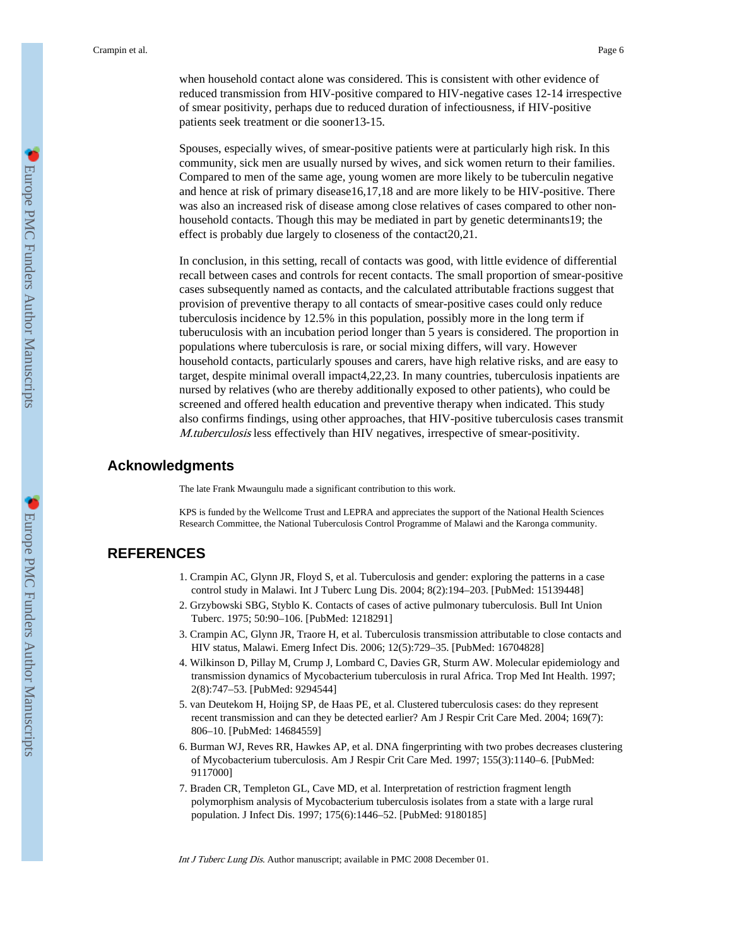when household contact alone was considered. This is consistent with other evidence of reduced transmission from HIV-positive compared to HIV-negative cases 12-14 irrespective of smear positivity, perhaps due to reduced duration of infectiousness, if HIV-positive patients seek treatment or die sooner13-15.

Spouses, especially wives, of smear-positive patients were at particularly high risk. In this community, sick men are usually nursed by wives, and sick women return to their families. Compared to men of the same age, young women are more likely to be tuberculin negative and hence at risk of primary disease16,17,18 and are more likely to be HIV-positive. There was also an increased risk of disease among close relatives of cases compared to other nonhousehold contacts. Though this may be mediated in part by genetic determinants19; the effect is probably due largely to closeness of the contact20,21.

In conclusion, in this setting, recall of contacts was good, with little evidence of differential recall between cases and controls for recent contacts. The small proportion of smear-positive cases subsequently named as contacts, and the calculated attributable fractions suggest that provision of preventive therapy to all contacts of smear-positive cases could only reduce tuberculosis incidence by 12.5% in this population, possibly more in the long term if tuberuculosis with an incubation period longer than 5 years is considered. The proportion in populations where tuberculosis is rare, or social mixing differs, will vary. However household contacts, particularly spouses and carers, have high relative risks, and are easy to target, despite minimal overall impact4,22,23. In many countries, tuberculosis inpatients are nursed by relatives (who are thereby additionally exposed to other patients), who could be screened and offered health education and preventive therapy when indicated. This study also confirms findings, using other approaches, that HIV-positive tuberculosis cases transmit M.tuberculosis less effectively than HIV negatives, irrespective of smear-positivity.

#### **Acknowledgments**

The late Frank Mwaungulu made a significant contribution to this work.

KPS is funded by the Wellcome Trust and LEPRA and appreciates the support of the National Health Sciences Research Committee, the National Tuberculosis Control Programme of Malawi and the Karonga community.

#### **REFERENCES**

- 1. Crampin AC, Glynn JR, Floyd S, et al. Tuberculosis and gender: exploring the patterns in a case control study in Malawi. Int J Tuberc Lung Dis. 2004; 8(2):194–203. [PubMed: 15139448]
- 2. Grzybowski SBG, Styblo K. Contacts of cases of active pulmonary tuberculosis. Bull Int Union Tuberc. 1975; 50:90–106. [PubMed: 1218291]
- 3. Crampin AC, Glynn JR, Traore H, et al. Tuberculosis transmission attributable to close contacts and HIV status, Malawi. Emerg Infect Dis. 2006; 12(5):729–35. [PubMed: 16704828]
- 4. Wilkinson D, Pillay M, Crump J, Lombard C, Davies GR, Sturm AW. Molecular epidemiology and transmission dynamics of Mycobacterium tuberculosis in rural Africa. Trop Med Int Health. 1997; 2(8):747–53. [PubMed: 9294544]
- 5. van Deutekom H, Hoijng SP, de Haas PE, et al. Clustered tuberculosis cases: do they represent recent transmission and can they be detected earlier? Am J Respir Crit Care Med. 2004; 169(7): 806–10. [PubMed: 14684559]
- 6. Burman WJ, Reves RR, Hawkes AP, et al. DNA fingerprinting with two probes decreases clustering of Mycobacterium tuberculosis. Am J Respir Crit Care Med. 1997; 155(3):1140–6. [PubMed: 9117000]
- 7. Braden CR, Templeton GL, Cave MD, et al. Interpretation of restriction fragment length polymorphism analysis of Mycobacterium tuberculosis isolates from a state with a large rural population. J Infect Dis. 1997; 175(6):1446–52. [PubMed: 9180185]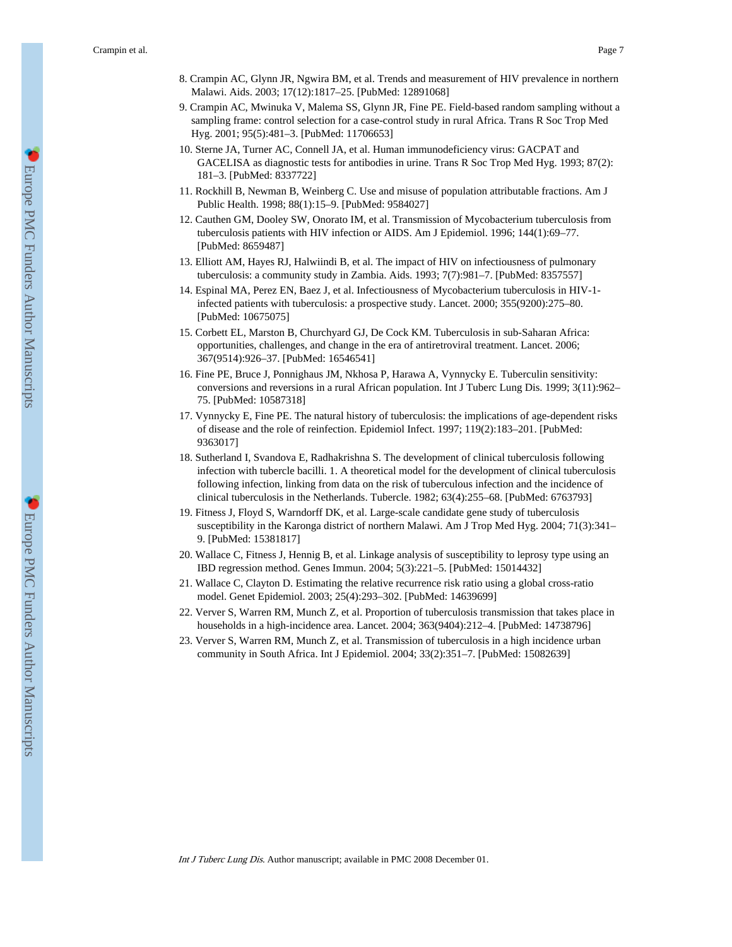- 8. Crampin AC, Glynn JR, Ngwira BM, et al. Trends and measurement of HIV prevalence in northern Malawi. Aids. 2003; 17(12):1817–25. [PubMed: 12891068]
- 9. Crampin AC, Mwinuka V, Malema SS, Glynn JR, Fine PE. Field-based random sampling without a sampling frame: control selection for a case-control study in rural Africa. Trans R Soc Trop Med Hyg. 2001; 95(5):481–3. [PubMed: 11706653]
- 10. Sterne JA, Turner AC, Connell JA, et al. Human immunodeficiency virus: GACPAT and GACELISA as diagnostic tests for antibodies in urine. Trans R Soc Trop Med Hyg. 1993; 87(2): 181–3. [PubMed: 8337722]
- 11. Rockhill B, Newman B, Weinberg C. Use and misuse of population attributable fractions. Am J Public Health. 1998; 88(1):15–9. [PubMed: 9584027]
- 12. Cauthen GM, Dooley SW, Onorato IM, et al. Transmission of Mycobacterium tuberculosis from tuberculosis patients with HIV infection or AIDS. Am J Epidemiol. 1996; 144(1):69–77. [PubMed: 8659487]
- 13. Elliott AM, Hayes RJ, Halwiindi B, et al. The impact of HIV on infectiousness of pulmonary tuberculosis: a community study in Zambia. Aids. 1993; 7(7):981–7. [PubMed: 8357557]
- 14. Espinal MA, Perez EN, Baez J, et al. Infectiousness of Mycobacterium tuberculosis in HIV-1 infected patients with tuberculosis: a prospective study. Lancet. 2000; 355(9200):275–80. [PubMed: 10675075]
- 15. Corbett EL, Marston B, Churchyard GJ, De Cock KM. Tuberculosis in sub-Saharan Africa: opportunities, challenges, and change in the era of antiretroviral treatment. Lancet. 2006; 367(9514):926–37. [PubMed: 16546541]
- 16. Fine PE, Bruce J, Ponnighaus JM, Nkhosa P, Harawa A, Vynnycky E. Tuberculin sensitivity: conversions and reversions in a rural African population. Int J Tuberc Lung Dis. 1999; 3(11):962– 75. [PubMed: 10587318]
- 17. Vynnycky E, Fine PE. The natural history of tuberculosis: the implications of age-dependent risks of disease and the role of reinfection. Epidemiol Infect. 1997; 119(2):183–201. [PubMed: 9363017]
- 18. Sutherland I, Svandova E, Radhakrishna S. The development of clinical tuberculosis following infection with tubercle bacilli. 1. A theoretical model for the development of clinical tuberculosis following infection, linking from data on the risk of tuberculous infection and the incidence of clinical tuberculosis in the Netherlands. Tubercle. 1982; 63(4):255–68. [PubMed: 6763793]
- 19. Fitness J, Floyd S, Warndorff DK, et al. Large-scale candidate gene study of tuberculosis susceptibility in the Karonga district of northern Malawi. Am J Trop Med Hyg. 2004; 71(3):341– 9. [PubMed: 15381817]
- 20. Wallace C, Fitness J, Hennig B, et al. Linkage analysis of susceptibility to leprosy type using an IBD regression method. Genes Immun. 2004; 5(3):221–5. [PubMed: 15014432]
- 21. Wallace C, Clayton D. Estimating the relative recurrence risk ratio using a global cross-ratio model. Genet Epidemiol. 2003; 25(4):293–302. [PubMed: 14639699]
- 22. Verver S, Warren RM, Munch Z, et al. Proportion of tuberculosis transmission that takes place in households in a high-incidence area. Lancet. 2004; 363(9404):212–4. [PubMed: 14738796]
- 23. Verver S, Warren RM, Munch Z, et al. Transmission of tuberculosis in a high incidence urban community in South Africa. Int J Epidemiol. 2004; 33(2):351–7. [PubMed: 15082639]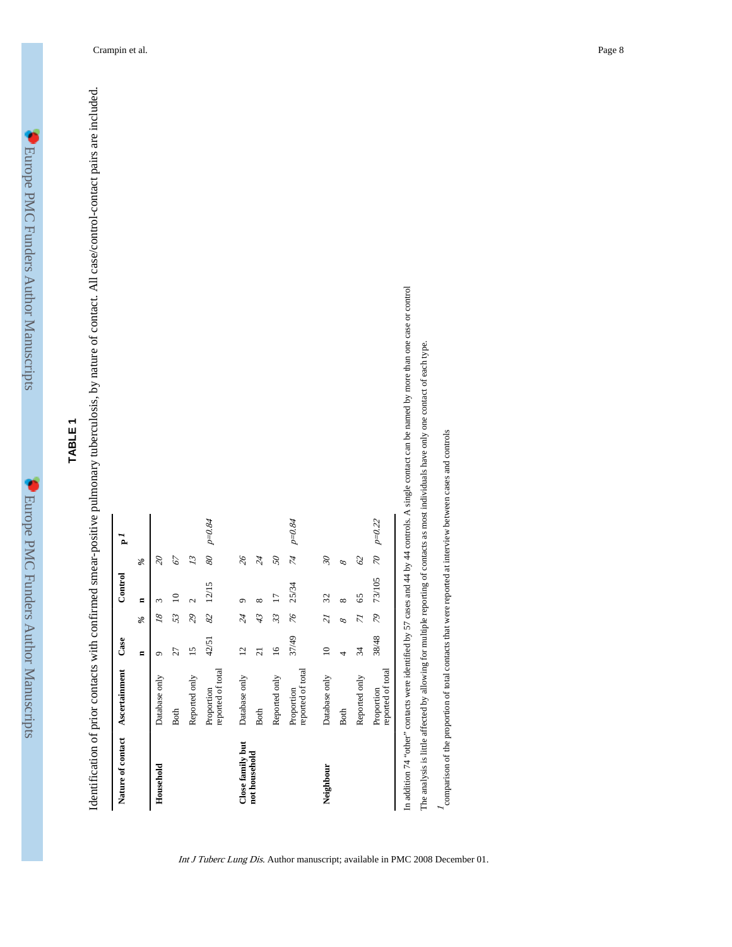### **TABLE 1**

Identification of prior contacts with confirmed smear-positive pulmonary tuberculosis, by nature of contact. All case/control-contact pairs are included. Identification of prior contacts with confirmed smear-positive pulmonary tuberculosis, by nature of contact. All case/control-contact pairs are included.

| Nature of contact | <b>Ascertainment</b>            | Case            |                          | Control        |                          | $\Delta$   |
|-------------------|---------------------------------|-----------------|--------------------------|----------------|--------------------------|------------|
|                   |                                 | $\blacksquare$  | %                        | $\blacksquare$ | $\%$                     |            |
| Household         | Database only                   | ۰               | $\overline{\mathcal{S}}$ | 3              | $\mathcal{S}$            |            |
|                   | <b>Both</b>                     | 27              | 53                       | P              | 67                       |            |
|                   | Reported only                   | 15              | 29                       |                | 13                       |            |
|                   | reported of total<br>Proportion | 42/51           | 82                       | 12/15          | $\mathscr{B}$            | p=0.84     |
| Close family but  | Database only                   | $\overline{c}$  | $\overline{\mathcal{U}}$ | σ              | $\mathcal{H}$            |            |
| not household     | <b>Both</b>                     | $\overline{c}$  | 43                       | $\infty$       | $\overline{\mathcal{U}}$ |            |
|                   | Reported only                   | $\overline{16}$ | 33                       | Γ              | $\mathcal{S}$            |            |
|                   | reported of total<br>Proportion | 37/49           | 92                       | 25/34          | $\widetilde{\varkappa}$  | p=0.84     |
| Neighbour         | Database only                   | $\supseteq$     | 21                       | 32             | $\mathscr{C}$            |            |
|                   | <b>Both</b>                     | 4               | 8                        | ∞              | 8                        |            |
|                   | Reported only                   | 34              | 77                       | 65             | $\mathcal{O}$            |            |
|                   | reported of total<br>Proportion | 38/48           | 84                       | 73/105         | $\approx$                | $p = 0.22$ |

Int J Tuberc Lung Dis. Author manuscript; available in PMC 2008 December 01.

ned by more than one case or control In addition 74 "other" contacts were identified by 57 cases and 44 by 44 controls. A single contact can be named by more than one case or control

The analysis is little affected by allowing for multiple reporting of contacts as most individuals have only one contact of each type. The analysis is little affected by allowing for multiple reporting of contacts as most individuals have only one contact of each type.

 $l$  comparison of the proportion of total contacts that were reported at interview between cases and controls comparison of the proportion of total contacts that were reported at interview between cases and controls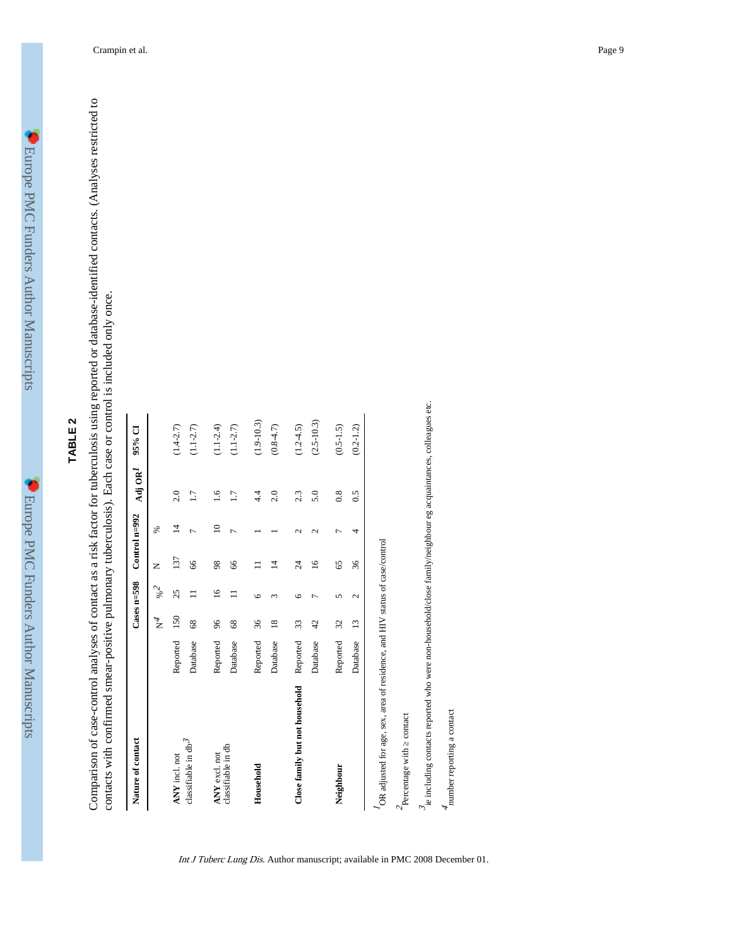# **TABLE 2**

Comparison of case-control analyses of contact as a risk factor for tuberculosis using reported or database-identified contacts. (Analyses restricted to Comparison of case-control analyses of contact as a risk factor for tuberculosis using reported or database-identified contacts. (Analyses restricted to contacts with confirmed smear-positive pulmonary tuberculosis). Each case or control is included only once. contacts with confirmed smear-positive pulmonary tuberculosis). Each case or control is included only once.

| Nature of contact                         |          |                                             | $\text{Case} \text{m} = 598$ |                | Control $n=992$  | Adj OR <sup>I</sup> | 95% CI         |
|-------------------------------------------|----------|---------------------------------------------|------------------------------|----------------|------------------|---------------------|----------------|
|                                           |          | $\rm \stackrel{4}{\scriptscriptstyle \sim}$ | $\%2$                        | z              | ℅                |                     |                |
| ANY incl. not                             | Reported | 150                                         | 25                           | 137            | ᅺ                | 2.0                 | $(1.4 - 2.7)$  |
| classifiable in $\mathrm{db}^\mathcal{J}$ | Database | 68                                          |                              | 66             |                  | 1.7                 | $(1.1 - 2.7)$  |
| ANY excl. not                             | Reported | 96                                          | $\tilde{=}$                  | 98             | ≘                | 1.6                 | $(1.1 - 2.4)$  |
| classifiable in db                        | Database | 68                                          |                              | 66             | $\overline{ }$   | 1.7                 | $(1.1 - 2.7)$  |
| Household                                 | Reported | 36                                          | G                            | $\Box$         |                  | 4.4                 | $(1.9 - 10.3)$ |
|                                           | Database | $\frac{8}{18}$                              | ω                            | 4              |                  | 2.0                 | $(0.8 - 4.7)$  |
| Close family but not household            | Reported | 33                                          | $\circ$                      | $\overline{c}$ | $\mathrel{\sim}$ | 2.3                 | $(1.2 - 4.5)$  |
|                                           | Database | 42                                          |                              | $\overline{6}$ | $\sim$           | 5.0                 | $(2.5 - 10.3)$ |
| Neighbour                                 | Reported | 32                                          | 5                            | 65             | ٣                | 0.8                 | $(0.5 - 1.5)$  |
|                                           | Database | $\frac{13}{2}$                              | $\mathcal{L}$                | 36             | 4                | 0.5                 | $(0.2 - 1.2)$  |

Int J Tuberc Lung Dis. Author manuscript; available in PMC 2008 December 01.

 $\vec{\textit{3}}_c$  including contacts reported who were non-household/close family/neighbour eg acquaintances, colleagues etc. ie including contacts reported who were non-household/close family/neighbour eg acquaintances, colleagues etc.

 $\boldsymbol{\mathcal{A}}$  number reporting a contact number reporting a contact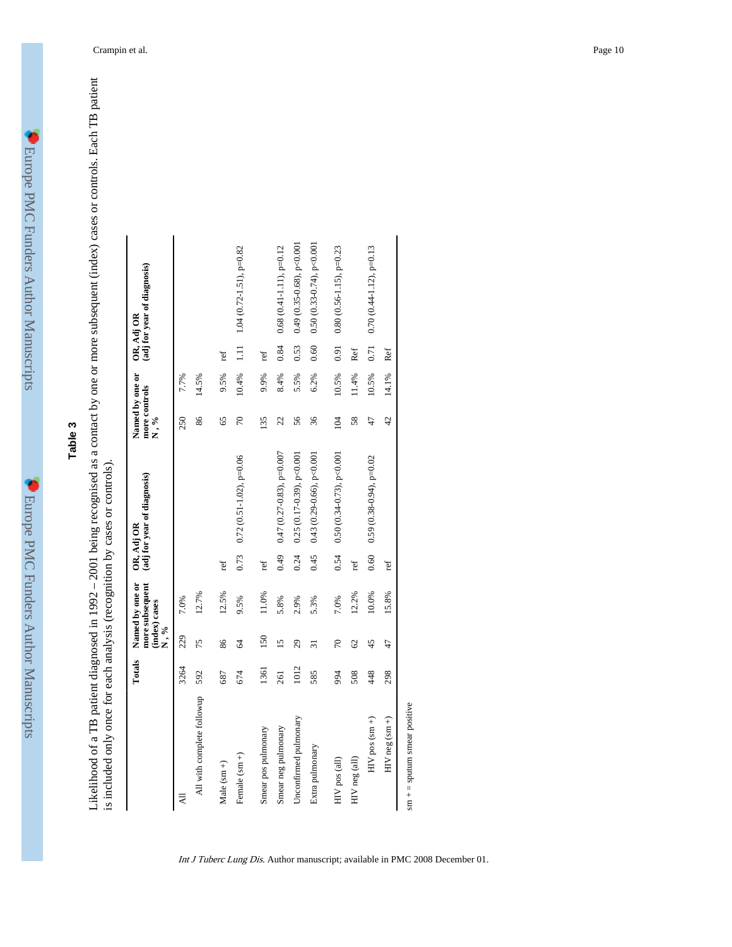### **Table 3**

Likelihood of a TB patient diagnosed in 1992 – 2001 being recognised as a contact by one or more subsequent (index) cases or controls. Each TB patient is included only once for each analysis (recognition by cases or contro Likelihood of a TB patient diagnosed in 1992 – 2001 being recognised as a contact by one or more subsequent (index) cases or controls. Each TB patient is included only once for each analysis (recognition by cases or controls).

|                            | Totals | (index) cases<br>N,% | more subsequent<br>Named by one or |      | (adj for year of diagnosis)<br>OR, Adj OR | more controls<br>N,% | Named by one or |      | (adj for year of diagnosis)<br>OR, Adj OR |
|----------------------------|--------|----------------------|------------------------------------|------|-------------------------------------------|----------------------|-----------------|------|-------------------------------------------|
|                            | 3264   | 229                  | 7.0%                               |      |                                           | 250                  | 7.7%            |      |                                           |
| All with complete followup | 592    | 75                   | 12.7%                              |      |                                           | 86                   | 14.5%           |      |                                           |
| Male $(\text{sm} +)$       | 687    | 86                   | 12.5%                              | ref  |                                           | 65                   | 9.5%            | ref  |                                           |
| Female $(sm +)$            | 674    | $\mathcal{Z}$        | 9.5%                               | 0.73 | $0.72(0.51 - 1.02)$ , p=0.06              | $\sqrt{2}$           | 10.4%           | 1.11 | 1.04 (0.72-1.51), $p=0.82$                |
| Smear pos pulmonary        | 1361   | 150                  | 11.0%                              | ref  |                                           | 135                  | 9.9%            | ref  |                                           |
| Smear neg pulmonary        | 261    | $\overline{15}$      | 5.8%                               | 0.49 | $0.47(0.27-0.83), p=0.007$                | 22                   | 8.4%            | 0.84 | $0.68$ (0.41-1.11), p=0.12                |
| Unconfirmed pulmonary      | 1012   | 29                   | 2.9%                               | 0.24 | $0.25(0.17-0.39)$ , p<0.001               | 56                   | 5.5%            | 0.53 | $0.49(0.35-0.68)$ , p<0.001               |
| Extra pulmonary            | 585    | ಸ                    | 5.3%                               | 0.45 | $0.43(0.29-0.66),$ p<0.001                | 36                   | 6.2%            | 0.60 | $0.50(0.33-0.74)$ , p<0.001               |
| HIV pos (all)              | 994    | $\sqrt{2}$           | 7.0%                               | 0.54 | $0.50(0.34-0.73)$ , p<0.001               | 104                  | 10.5%           | 0.91 | $0.80(0.56 - 1.15)$ , p=0.23              |
| HIV neg (all)              | 508    | $\mathcal{O}$        | 12.2%                              | ref  |                                           | 58                   | 11.4%           | Ref  |                                           |
| HIV pos (sm +)             | 448    | 45                   | 10.0%                              | 0.60 | $0.59(0.38-0.94)$ , p=0.02                | 47                   | 10.5%           | 0.71 | $0.70(0.44 - 1.12), p=0.13$               |
| HIV neg (sm +)             | 298    | 47                   | 15.8%                              | ref  |                                           | 42                   | 14.1%           | Ref  |                                           |